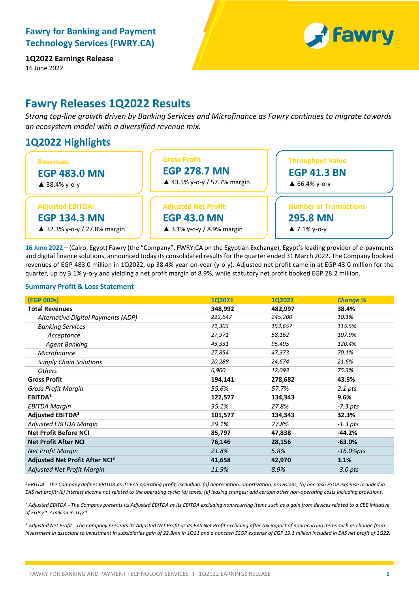

**1Q2022 Earnings Release** 16 June 2022

# **Fawry Releases 1Q2022 Results**

*Strong top-line growth driven by Banking Services and Microfinance as Fawry continues to migrate towards an ecosystem model with a diversified revenue mix.*

### **1Q2022 Highlights**

| <b>Revenues</b>                    | <b>Gross Profit</b>                    | <b>Throughput Value</b>       |
|------------------------------------|----------------------------------------|-------------------------------|
| <b>EGP 483.0 MN</b>                | <b>EGP 278.7 MN</b>                    | <b>EGP 41.3 BN</b>            |
| $\triangle$ 38.4% y-o-y            | ▲ 43.5% y-o-y / 57.7% margin           | $\triangle$ 66.4% v-o-v       |
| <b>Adjusted EBITDA<sup>2</sup></b> | <b>Adjusted Net Profit<sup>3</sup></b> | <b>Number of Transactions</b> |
| <b>EGP 134.3 MN</b>                | <b>EGP 43.0 MN</b>                     | <b>295.8 MN</b>               |
| ▲ 32.3% y-o-y / 27.8% margin       | ▲ 3.1% y-o-y / 8.9% margin             | $\triangle$ 7.1% y-o-y        |

**16 June 2022** – (Cairo, Egypt) Fawry (the "Company", FWRY.CA on the Egyptian Exchange), Egypt's leading provider of e-payments and digital finance solutions, announced today its consolidated results for the quarter ended 31 March 2022. The Company booked revenues of EGP 483.0 million in 1Q2022, up 38.4% year-on-year (y-o-y). Adjusted net profit came in at EGP 43.0 million for the quarter, up by 3.1% y-o-y and yielding a net profit margin of 8.9%, while statutory net profit booked EGP 28.2 million.

#### **Summary Profit & Loss Statement**

| <b>(EGP 000s)</b>                          | <b>1Q2021</b> | 1Q2022  | <b>Change %</b> |
|--------------------------------------------|---------------|---------|-----------------|
| <b>Total Revenues</b>                      | 348,992       | 482,997 | 38.4%           |
| Alternative Digital Payments (ADP)         | 222,647       | 245,200 | 10.1%           |
| <b>Banking Services</b>                    | 71,303        | 153,657 | 115.5%          |
| Acceptance                                 | 27,971        | 58,162  | 107.9%          |
| <b>Agent Banking</b>                       | 43,331        | 95,495  | 120.4%          |
| Microfinance                               | 27,854        | 47,373  | 70.1%           |
| <b>Supply Chain Solutions</b>              | 20,288        | 24,674  | 21.6%           |
| <b>Others</b>                              | 6,900         | 12,093  | 75.3%           |
| <b>Gross Profit</b>                        | 194,141       | 278,682 | 43.5%           |
| Gross Profit Margin                        | 55.6%         | 57.7%   | 2.1 pts         |
| EBITDA <sup>1</sup>                        | 122,577       | 134,343 | 9.6%            |
| <b>EBITDA Margin</b>                       | 35.1%         | 27.8%   | $-7.3$ pts      |
| <b>Adjusted EBITDA<sup>2</sup></b>         | 101,577       | 134,343 | 32.3%           |
| Adjusted EBITDA Margin                     | 29.1%         | 27.8%   | $-1.3$ pts      |
| <b>Net Profit Before NCI</b>               | 85,797        | 47,838  | $-44.2%$        |
| <b>Net Profit After NCI</b>                | 76,146        | 28,156  | $-63.0%$        |
| <b>Net Profit Margin</b>                   | 21.8%         | 5.8%    | -16.0%pts       |
| Adjusted Net Profit After NCI <sup>3</sup> | 41,658        | 42,970  | 3.1%            |
| <b>Adjusted Net Profit Margin</b>          | 11.9%         | 8.9%    | $-3.0$ pts      |
|                                            |               |         |                 |

*<sup>1</sup>EBITDA - The Company defines EBITDA as its EAS operating profit, excluding: (a) depreciation, amortization, provisions; (b) noncash ESOP expense included in EAS net profit; (c) interest income not related to the operating cycle; (d) taxes; (e) leasing charges; and certain other non-operating costs including provisions.*

*<sup>2</sup> Adjusted EBITDA - The Company presents its Adjusted EBITDA as its EBITDA excluding nonrecurring items such as a gain from devices related to a CBE initiative of EGP 21.7 million in 1Q21.*

*<sup>3</sup> Adjusted Net Profit - The Company presents its Adjusted Net Profit as its EAS Net Profit excluding after tax impact of nonrecurring items such as change from investment in associate to investment in subsidiaries gain of 22.8mn in 1Q21 and a noncash ESOP expense of EGP 19.1 million included in EAS net profit of 1Q22.*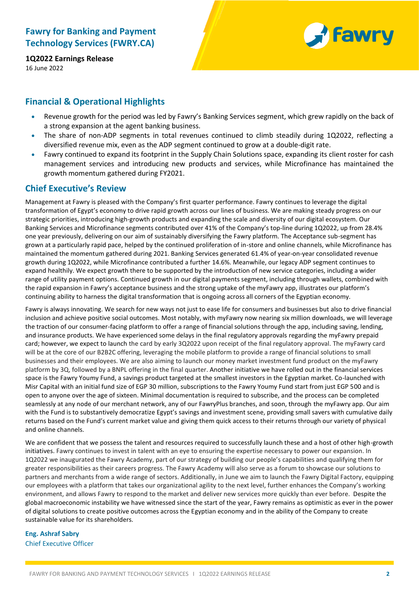

**1Q2022 Earnings Release** 16 June 2022

#### **Financial & Operational Highlights**

- Revenue growth for the period was led by Fawry's Banking Services segment, which grew rapidly on the back of a strong expansion at the agent banking business.
- The share of non-ADP segments in total revenues continued to climb steadily during 1Q2022, reflecting a diversified revenue mix, even as the ADP segment continued to grow at a double-digit rate.
- Fawry continued to expand its footprint in the Supply Chain Solutions space, expanding its client roster for cash management services and introducing new products and services, while Microfinance has maintained the growth momentum gathered during FY2021.

#### **Chief Executive's Review**

Management at Fawry is pleased with the Company's first quarter performance. Fawry continues to leverage the digital transformation of Egypt's economy to drive rapid growth across our lines of business. We are making steady progress on our strategic priorities, introducing high-growth products and expanding the scale and diversity of our digital ecosystem. Our Banking Services and Microfinance segments contributed over 41% of the Company's top-line during 1Q2022, up from 28.4% one year previously, delivering on our aim of sustainably diversifying the Fawry platform. The Acceptance sub-segment has grown at a particularly rapid pace, helped by the continued proliferation of in-store and online channels, while Microfinance has maintained the momentum gathered during 2021. Banking Services generated 61.4% of year-on-year consolidated revenue growth during 1Q2022, while Microfinance contributed a further 14.6%. Meanwhile, our legacy ADP segment continues to expand healthily. We expect growth there to be supported by the introduction of new service categories, including a wider range of utility payment options. Continued growth in our digital payments segment, including through wallets, combined with the rapid expansion in Fawry's acceptance business and the strong uptake of the myFawry app, illustrates our platform's continuing ability to harness the digital transformation that is ongoing across all corners of the Egyptian economy.

Fawry is always innovating. We search for new ways not just to ease life for consumers and businesses but also to drive financial inclusion and achieve positive social outcomes. Most notably, with myFawry now nearing six million downloads, we will leverage the traction of our consumer-facing platform to offer a range of financial solutions through the app, including saving, lending, and insurance products. We have experienced some delays in the final regulatory approvals regarding the myFawry prepaid card; however, we expect to launch the card by early 3Q2022 upon receipt of the final regulatory approval. The myFawry card will be at the core of our B2B2C offering, leveraging the mobile platform to provide a range of financial solutions to small businesses and their employees. We are also aiming to launch our money market investment fund product on the myFawry platform by 3Q, followed by a BNPL offering in the final quarter. Another initiative we have rolled out in the financial services space is the Fawry Youmy Fund, a savings product targeted at the smallest investors in the Egyptian market. Co-launched with Misr Capital with an initial fund size of EGP 30 million, subscriptions to the Fawry Youmy Fund start from just EGP 500 and is open to anyone over the age of sixteen. Minimal documentation is required to subscribe, and the process can be completed seamlessly at any node of our merchant network, any of our FawryPlus branches, and soon, through the myFawry app. Our aim with the Fund is to substantively democratize Egypt's savings and investment scene, providing small savers with cumulative daily returns based on the Fund's current market value and giving them quick access to their returns through our variety of physical and online channels.

We are confident that we possess the talent and resources required to successfully launch these and a host of other high-growth initiatives. Fawry continues to invest in talent with an eye to ensuring the expertise necessary to power our expansion. In 1Q2022 we inaugurated the Fawry Academy, part of our strategy of building our people's capabilities and qualifying them for greater responsibilities as their careers progress. The Fawry Academy will also serve as a forum to showcase our solutions to partners and merchants from a wide range of sectors. Additionally, in June we aim to launch the Fawry Digital Factory, equipping our employees with a platform that takes our organizational agility to the next level, further enhances the Company's working environment, and allows Fawry to respond to the market and deliver new services more quickly than ever before. Despite the global macroeconomic instability we have witnessed since the start of the year, Fawry remains as optimistic as ever in the power of digital solutions to create positive outcomes across the Egyptian economy and in the ability of the Company to create sustainable value for its shareholders.

#### **Eng. Ashraf Sabry** Chief Executive Officer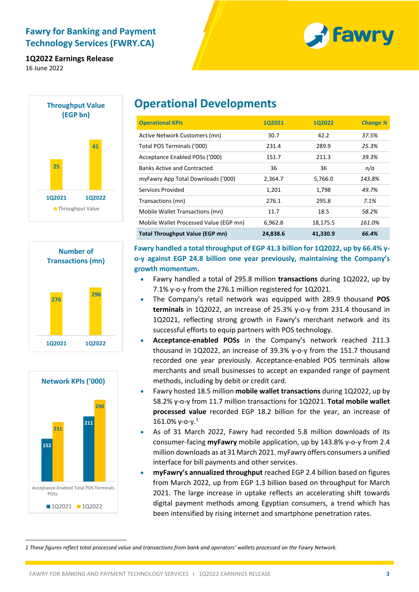

**1Q2022 Earnings Release** 16 June 2022







1

# **Operational Developments**

| <b>Operational KPIs</b>                | 1Q2021   | 1Q2022   | <b>Change %</b> |
|----------------------------------------|----------|----------|-----------------|
| Active Network Customers (mn)          | 30.7     | 42.2     | 37.5%           |
| Total POS Terminals ('000)             | 231.4    | 289.9    | 25.3%           |
| Acceptance Enabled POSs ('000)         | 151.7    | 211.3    | 39.3%           |
| <b>Banks Active and Contracted</b>     | 36       | 36       | n/a             |
| myFawry App Total Downloads ('000)     | 2,364.7  | 5,766.0  | 143.8%          |
| Services Provided                      | 1,201    | 1,798    | 49.7%           |
| Transactions (mn)                      | 276.1    | 295.8    | 7.1%            |
| Mobile Wallet Transactions (mn)        | 11.7     | 18.5     | 58.2%           |
| Mobile Wallet Processed Value (EGP mn) | 6,962.8  | 18,175.5 | 161.0%          |
| <b>Total Throughput Value (EGP mn)</b> | 24.838.6 | 41,330.9 | 66.4%           |

**Fawry handled a total throughput of EGP 41.3 billion for 1Q2022, up by 66.4% yo-y against EGP 24.8 billion one year previously, maintaining the Company's growth momentum.**

- Fawry handled a total of 295.8 million **transactions** during 1Q2022, up by 7.1% y-o-y from the 276.1 million registered for 1Q2021.
- The Company's retail network was equipped with 289.9 thousand **POS terminals** in 1Q2022, an increase of 25.3% y-o-y from 231.4 thousand in 1Q2021, reflecting strong growth in Fawry's merchant network and its successful efforts to equip partners with POS technology.
- **Acceptance-enabled POSs** in the Company's network reached 211.3 thousand in 1Q2022, an increase of 39.3% y-o-y from the 151.7 thousand recorded one year previously. Acceptance-enabled POS terminals allow merchants and small businesses to accept an expanded range of payment methods, including by debit or credit card.
- Fawry hosted 18.5 million **mobile wallet transactions** during 1Q2022, up by 58.2% y-o-y from 11.7 million transactions for 1Q2021. **Total mobile wallet processed value** recorded EGP 18.2 billion for the year, an increase of 161.0% y-o-y.<sup>1</sup>
- As of 31 March 2022, Fawry had recorded 5.8 million downloads of its consumer-facing **myFawry** mobile application, up by 143.8% y-o-y from 2.4 million downloads as at 31 March 2021. myFawry offers consumers a unified interface for bill payments and other services.
- **myFawry's annualized throughput** reached EGP 2.4 billion based on figures from March 2022, up from EGP 1.3 billion based on throughput for March 2021. The large increase in uptake reflects an accelerating shift towards digital payment methods among Egyptian consumers, a trend which has been intensified by rising internet and smartphone penetration rates.

*1 These figures reflect total processed value and transactions from bank and operators' wallets processed on the Fawry Network.*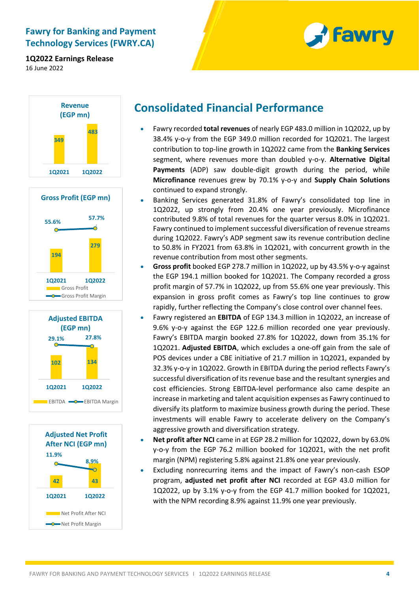

**1Q2022 Earnings Release** 16 June 2022









## **Consolidated Financial Performance**

- Fawry recorded **total revenues** of nearly EGP 483.0 million in 1Q2022, up by 38.4% y-o-y from the EGP 349.0 million recorded for 1Q2021. The largest contribution to top-line growth in 1Q2022 came from the **Banking Services** segment, where revenues more than doubled y-o-y. **Alternative Digital Payments** (ADP) saw double-digit growth during the period, while **Microfinance** revenues grew by 70.1% y-o-y and **Supply Chain Solutions** continued to expand strongly.
- Banking Services generated 31.8% of Fawry's consolidated top line in 1Q2022, up strongly from 20.4% one year previously. Microfinance contributed 9.8% of total revenues for the quarter versus 8.0% in 1Q2021. Fawry continued to implement successful diversification of revenue streams during 1Q2022. Fawry's ADP segment saw its revenue contribution decline to 50.8% in FY2021 from 63.8% in 1Q2021, with concurrent growth in the revenue contribution from most other segments.
- **Gross profit** booked EGP 278.7 million in 1Q2022, up by 43.5% y-o-y against the EGP 194.1 million booked for 1Q2021. The Company recorded a gross profit margin of 57.7% in 1Q2022, up from 55.6% one year previously. This expansion in gross profit comes as Fawry's top line continues to grow rapidly, further reflecting the Company's close control over channel fees.
- Fawry registered an **EBITDA** of EGP 134.3 million in 1Q2022, an increase of 9.6% y-o-y against the EGP 122.6 million recorded one year previously. Fawry's EBITDA margin booked 27.8% for 1Q2022, down from 35.1% for 1Q2021. **Adjusted EBITDA**, which excludes a one-off gain from the sale of POS devices under a CBE initiative of 21.7 million in 1Q2021, expanded by 32.3% y-o-y in 1Q2022. Growth in EBITDA during the period reflects Fawry's successful diversification of its revenue base and the resultant synergies and cost efficiencies. Strong EBITDA-level performance also came despite an increase in marketing and talent acquisition expenses as Fawry continued to diversify its platform to maximize business growth during the period. These investments will enable Fawry to accelerate delivery on the Company's aggressive growth and diversification strategy.
- **Net profit after NCI** came in at EGP 28.2 million for 1Q2022, down by 63.0% y-o-y from the EGP 76.2 million booked for 1Q2021, with the net profit margin (NPM) registering 5.8% against 21.8% one year previously.
- Excluding nonrecurring items and the impact of Fawry's non-cash ESOP program, **adjusted net profit after NCI** recorded at EGP 43.0 million for 1Q2022, up by 3.1% y-o-y from the EGP 41.7 million booked for 1Q2021, with the NPM recording 8.9% against 11.9% one year previously.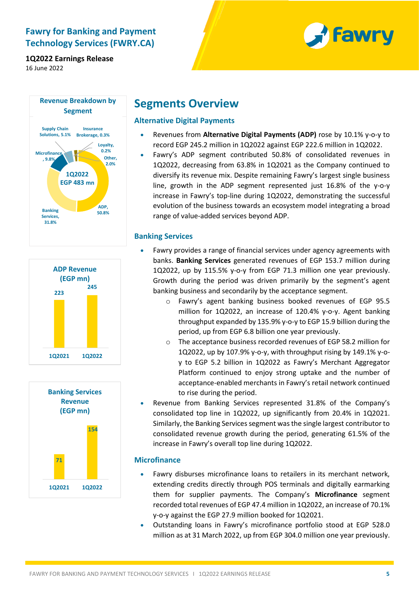

**1Q2022 Earnings Release** 16 June 2022





#### **Alternative Digital Payments**

- Revenues from **Alternative Digital Payments (ADP)** rose by 10.1% y-o-y to record EGP 245.2 million in 1Q2022 against EGP 222.6 million in 1Q2022.
- Fawry's ADP segment contributed 50.8% of consolidated revenues in 1Q2022, decreasing from 63.8% in 1Q2021 as the Company continued to diversify its revenue mix. Despite remaining Fawry's largest single business line, growth in the ADP segment represented just 16.8% of the y-o-y increase in Fawry's top-line during 1Q2022, demonstrating the successful evolution of the business towards an ecosystem model integrating a broad range of value-added services beyond ADP.

#### **Banking Services**

- Fawry provides a range of financial services under agency agreements with banks. **Banking Services** generated revenues of EGP 153.7 million during 1Q2022, up by 115.5% y-o-y from EGP 71.3 million one year previously. Growth during the period was driven primarily by the segment's agent banking business and secondarily by the acceptance segment.
	- o Fawry's agent banking business booked revenues of EGP 95.5 million for 1Q2022, an increase of 120.4% y-o-y. Agent banking throughput expanded by 135.9% y-o-y to EGP 15.9 billion during the period, up from EGP 6.8 billion one year previously.
	- o The acceptance business recorded revenues of EGP 58.2 million for 1Q2022, up by 107.9% y-o-y, with throughput rising by 149.1% y-oy to EGP 5.2 billion in 1Q2022 as Fawry's Merchant Aggregator Platform continued to enjoy strong uptake and the number of acceptance-enabled merchants in Fawry's retail network continued to rise during the period.
- Revenue from Banking Services represented 31.8% of the Company's consolidated top line in 1Q2022, up significantly from 20.4% in 1Q2021. Similarly, the Banking Services segment was the single largest contributor to consolidated revenue growth during the period, generating 61.5% of the increase in Fawry's overall top line during 1Q2022.

#### **Microfinance**

- Fawry disburses microfinance loans to retailers in its merchant network, extending credits directly through POS terminals and digitally earmarking them for supplier payments. The Company's **Microfinance** segment recorded total revenues of EGP 47.4 million in 1Q2022, an increase of 70.1% y-o-y against the EGP 27.9 million booked for 1Q2021.
- Outstanding loans in Fawry's microfinance portfolio stood at EGP 528.0 million as at 31 March 2022, up from EGP 304.0 million one year previously.



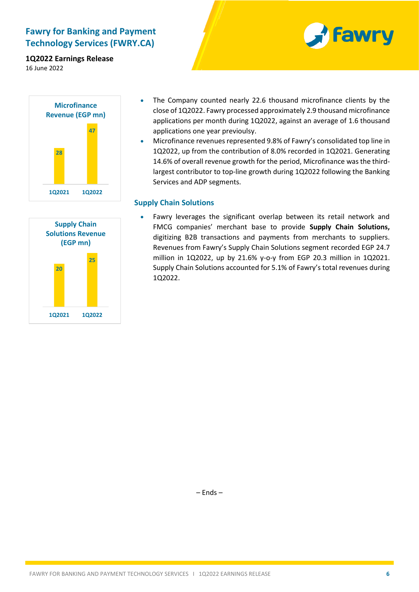

**1Q2022 Earnings Release** 16 June 2022





- The Company counted nearly 22.6 thousand microfinance clients by the close of 1Q2022. Fawry processed approximately 2.9 thousand microfinance applications per month during 1Q2022, against an average of 1.6 thousand applications one year previoulsy.
- Microfinance revenues represented 9.8% of Fawry's consolidated top line in 1Q2022, up from the contribution of 8.0% recorded in 1Q2021. Generating 14.6% of overall revenue growth for the period, Microfinance was the thirdlargest contributor to top-line growth during 1Q2022 following the Banking Services and ADP segments.

#### **Supply Chain Solutions**

• Fawry leverages the significant overlap between its retail network and FMCG companies' merchant base to provide **Supply Chain Solutions,** digitizing B2B transactions and payments from merchants to suppliers. Revenues from Fawry's Supply Chain Solutions segment recorded EGP 24.7 million in 1Q2022, up by 21.6% y-o-y from EGP 20.3 million in 1Q2021. Supply Chain Solutions accounted for 5.1% of Fawry's total revenues during 1Q2022.